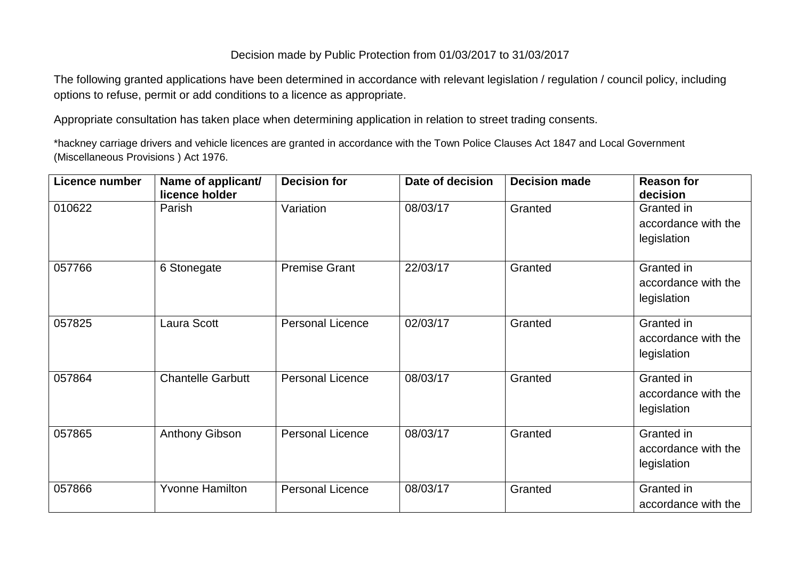## Decision made by Public Protection from 01/03/2017 to 31/03/2017

The following granted applications have been determined in accordance with relevant legislation / regulation / council policy, including options to refuse, permit or add conditions to a licence as appropriate.

Appropriate consultation has taken place when determining application in relation to street trading consents.

\*hackney carriage drivers and vehicle licences are granted in accordance with the Town Police Clauses Act 1847 and Local Government (Miscellaneous Provisions ) Act 1976.

| Licence number | Name of applicant/<br>licence holder | <b>Decision for</b>     | Date of decision | <b>Decision made</b> | <b>Reason for</b><br>decision                    |
|----------------|--------------------------------------|-------------------------|------------------|----------------------|--------------------------------------------------|
| 010622         | Parish                               | Variation               | 08/03/17         | Granted              | Granted in<br>accordance with the<br>legislation |
| 057766         | 6 Stonegate                          | <b>Premise Grant</b>    | 22/03/17         | Granted              | Granted in<br>accordance with the<br>legislation |
| 057825         | Laura Scott                          | <b>Personal Licence</b> | 02/03/17         | Granted              | Granted in<br>accordance with the<br>legislation |
| 057864         | <b>Chantelle Garbutt</b>             | <b>Personal Licence</b> | 08/03/17         | Granted              | Granted in<br>accordance with the<br>legislation |
| 057865         | Anthony Gibson                       | <b>Personal Licence</b> | 08/03/17         | Granted              | Granted in<br>accordance with the<br>legislation |
| 057866         | <b>Yvonne Hamilton</b>               | <b>Personal Licence</b> | 08/03/17         | Granted              | Granted in<br>accordance with the                |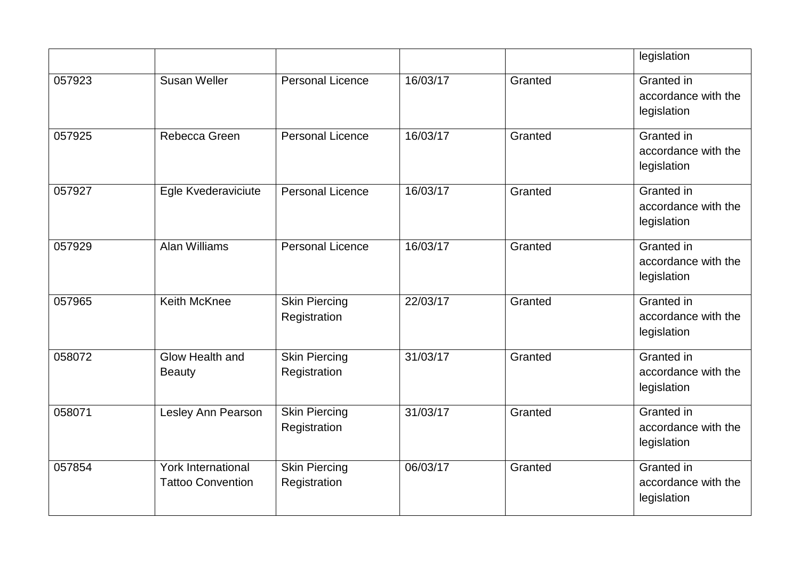|        |                                                       |                                      |          |         | legislation                                      |
|--------|-------------------------------------------------------|--------------------------------------|----------|---------|--------------------------------------------------|
| 057923 | <b>Susan Weller</b>                                   | <b>Personal Licence</b>              | 16/03/17 | Granted | Granted in<br>accordance with the<br>legislation |
| 057925 | Rebecca Green                                         | <b>Personal Licence</b>              | 16/03/17 | Granted | Granted in<br>accordance with the<br>legislation |
| 057927 | Egle Kvederaviciute                                   | <b>Personal Licence</b>              | 16/03/17 | Granted | Granted in<br>accordance with the<br>legislation |
| 057929 | <b>Alan Williams</b>                                  | <b>Personal Licence</b>              | 16/03/17 | Granted | Granted in<br>accordance with the<br>legislation |
| 057965 | <b>Keith McKnee</b>                                   | <b>Skin Piercing</b><br>Registration | 22/03/17 | Granted | Granted in<br>accordance with the<br>legislation |
| 058072 | Glow Health and<br><b>Beauty</b>                      | <b>Skin Piercing</b><br>Registration | 31/03/17 | Granted | Granted in<br>accordance with the<br>legislation |
| 058071 | Lesley Ann Pearson                                    | <b>Skin Piercing</b><br>Registration | 31/03/17 | Granted | Granted in<br>accordance with the<br>legislation |
| 057854 | <b>York International</b><br><b>Tattoo Convention</b> | <b>Skin Piercing</b><br>Registration | 06/03/17 | Granted | Granted in<br>accordance with the<br>legislation |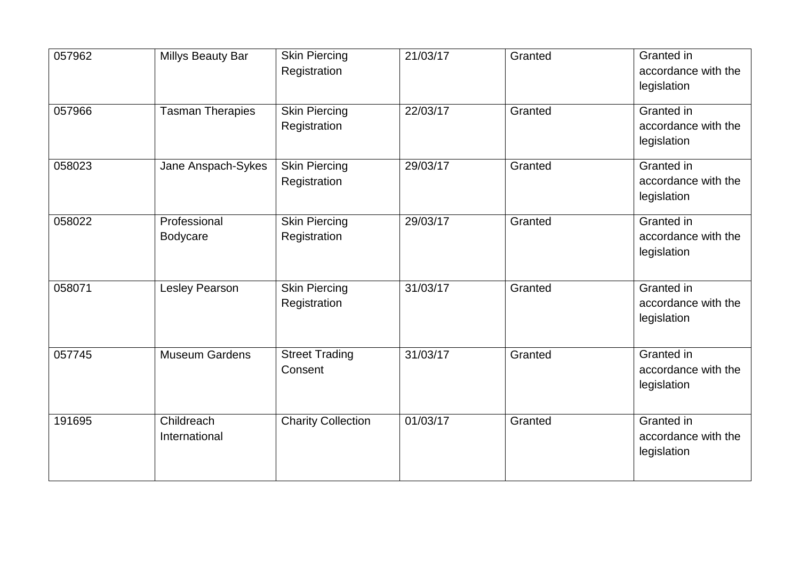| 057962 | <b>Millys Beauty Bar</b>    | <b>Skin Piercing</b><br>Registration | 21/03/17 | Granted | Granted in<br>accordance with the<br>legislation |
|--------|-----------------------------|--------------------------------------|----------|---------|--------------------------------------------------|
| 057966 | <b>Tasman Therapies</b>     | <b>Skin Piercing</b><br>Registration | 22/03/17 | Granted | Granted in<br>accordance with the<br>legislation |
| 058023 | Jane Anspach-Sykes          | <b>Skin Piercing</b><br>Registration | 29/03/17 | Granted | Granted in<br>accordance with the<br>legislation |
| 058022 | Professional<br>Bodycare    | <b>Skin Piercing</b><br>Registration | 29/03/17 | Granted | Granted in<br>accordance with the<br>legislation |
| 058071 | <b>Lesley Pearson</b>       | <b>Skin Piercing</b><br>Registration | 31/03/17 | Granted | Granted in<br>accordance with the<br>legislation |
| 057745 | <b>Museum Gardens</b>       | <b>Street Trading</b><br>Consent     | 31/03/17 | Granted | Granted in<br>accordance with the<br>legislation |
| 191695 | Childreach<br>International | <b>Charity Collection</b>            | 01/03/17 | Granted | Granted in<br>accordance with the<br>legislation |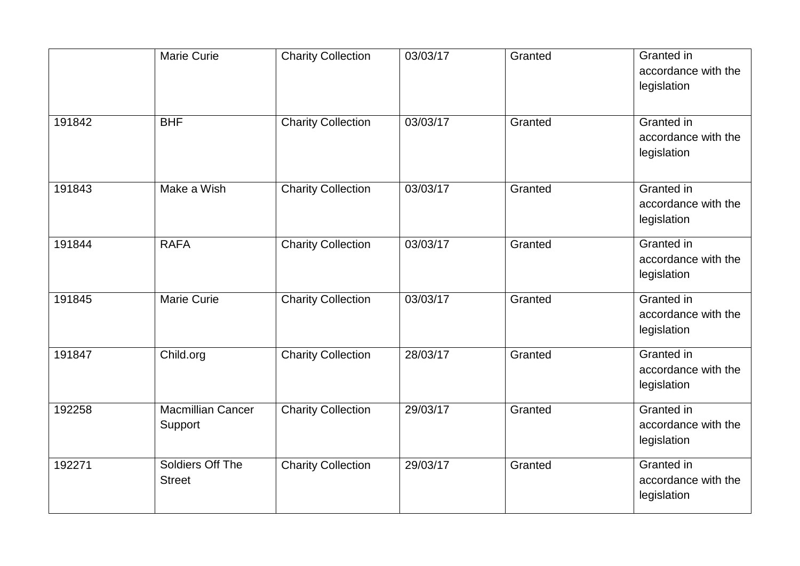|        | <b>Marie Curie</b>                  | <b>Charity Collection</b> | 03/03/17 | Granted | Granted in<br>accordance with the<br>legislation |
|--------|-------------------------------------|---------------------------|----------|---------|--------------------------------------------------|
| 191842 | <b>BHF</b>                          | <b>Charity Collection</b> | 03/03/17 | Granted | Granted in<br>accordance with the<br>legislation |
| 191843 | Make a Wish                         | <b>Charity Collection</b> | 03/03/17 | Granted | Granted in<br>accordance with the<br>legislation |
| 191844 | <b>RAFA</b>                         | <b>Charity Collection</b> | 03/03/17 | Granted | Granted in<br>accordance with the<br>legislation |
| 191845 | <b>Marie Curie</b>                  | <b>Charity Collection</b> | 03/03/17 | Granted | Granted in<br>accordance with the<br>legislation |
| 191847 | Child.org                           | <b>Charity Collection</b> | 28/03/17 | Granted | Granted in<br>accordance with the<br>legislation |
| 192258 | <b>Macmillian Cancer</b><br>Support | <b>Charity Collection</b> | 29/03/17 | Granted | Granted in<br>accordance with the<br>legislation |
| 192271 | Soldiers Off The<br><b>Street</b>   | <b>Charity Collection</b> | 29/03/17 | Granted | Granted in<br>accordance with the<br>legislation |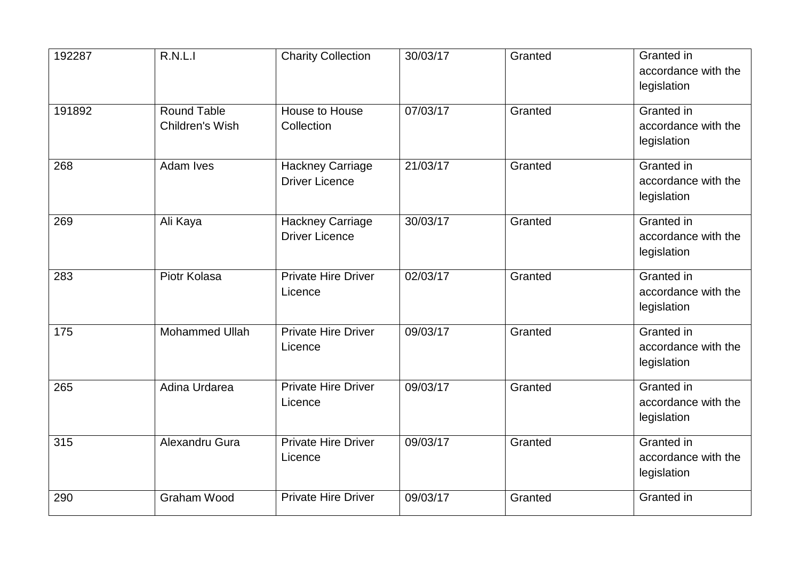| 192287 | R.N.L.I                               | <b>Charity Collection</b>                        | 30/03/17 | Granted | Granted in<br>accordance with the<br>legislation |
|--------|---------------------------------------|--------------------------------------------------|----------|---------|--------------------------------------------------|
| 191892 | <b>Round Table</b><br>Children's Wish | House to House<br>Collection                     | 07/03/17 | Granted | Granted in<br>accordance with the<br>legislation |
| 268    | <b>Adam Ives</b>                      | <b>Hackney Carriage</b><br><b>Driver Licence</b> | 21/03/17 | Granted | Granted in<br>accordance with the<br>legislation |
| 269    | Ali Kaya                              | <b>Hackney Carriage</b><br><b>Driver Licence</b> | 30/03/17 | Granted | Granted in<br>accordance with the<br>legislation |
| 283    | Piotr Kolasa                          | <b>Private Hire Driver</b><br>Licence            | 02/03/17 | Granted | Granted in<br>accordance with the<br>legislation |
| 175    | <b>Mohammed Ullah</b>                 | <b>Private Hire Driver</b><br>Licence            | 09/03/17 | Granted | Granted in<br>accordance with the<br>legislation |
| 265    | Adina Urdarea                         | <b>Private Hire Driver</b><br>Licence            | 09/03/17 | Granted | Granted in<br>accordance with the<br>legislation |
| 315    | Alexandru Gura                        | <b>Private Hire Driver</b><br>Licence            | 09/03/17 | Granted | Granted in<br>accordance with the<br>legislation |
| 290    | <b>Graham Wood</b>                    | <b>Private Hire Driver</b>                       | 09/03/17 | Granted | Granted in                                       |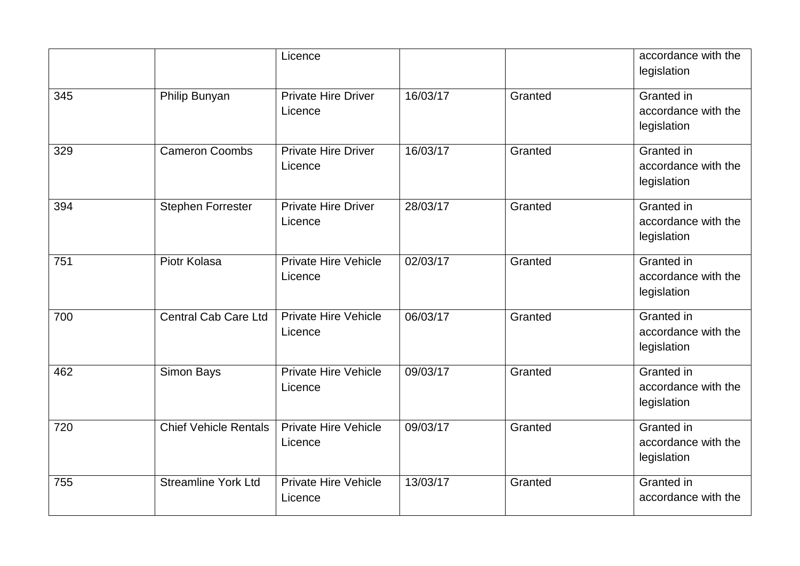| legislation<br>16/03/17<br>Granted in<br>Philip Bunyan<br><b>Private Hire Driver</b><br>Granted<br>345<br>Licence<br>legislation<br><b>Cameron Coombs</b><br>16/03/17<br>Granted in<br><b>Private Hire Driver</b><br>Granted<br>329<br>accordance with the<br>Licence<br>legislation<br>394<br>28/03/17<br>Granted in<br><b>Stephen Forrester</b><br><b>Private Hire Driver</b><br>Granted |  | Licence |  | accordance with the |
|--------------------------------------------------------------------------------------------------------------------------------------------------------------------------------------------------------------------------------------------------------------------------------------------------------------------------------------------------------------------------------------------|--|---------|--|---------------------|
|                                                                                                                                                                                                                                                                                                                                                                                            |  |         |  |                     |
|                                                                                                                                                                                                                                                                                                                                                                                            |  |         |  |                     |
|                                                                                                                                                                                                                                                                                                                                                                                            |  |         |  | accordance with the |
|                                                                                                                                                                                                                                                                                                                                                                                            |  |         |  |                     |
|                                                                                                                                                                                                                                                                                                                                                                                            |  |         |  |                     |
|                                                                                                                                                                                                                                                                                                                                                                                            |  |         |  |                     |
|                                                                                                                                                                                                                                                                                                                                                                                            |  |         |  |                     |
|                                                                                                                                                                                                                                                                                                                                                                                            |  |         |  |                     |
| Licence                                                                                                                                                                                                                                                                                                                                                                                    |  |         |  | accordance with the |
| legislation                                                                                                                                                                                                                                                                                                                                                                                |  |         |  |                     |
| <b>Private Hire Vehicle</b><br>02/03/17<br>Granted in<br>751<br>Piotr Kolasa<br>Granted                                                                                                                                                                                                                                                                                                    |  |         |  |                     |
| Licence                                                                                                                                                                                                                                                                                                                                                                                    |  |         |  | accordance with the |
| legislation                                                                                                                                                                                                                                                                                                                                                                                |  |         |  |                     |
| Granted in<br><b>Central Cab Care Ltd</b><br><b>Private Hire Vehicle</b><br>06/03/17<br>700<br>Granted                                                                                                                                                                                                                                                                                     |  |         |  |                     |
| Licence                                                                                                                                                                                                                                                                                                                                                                                    |  |         |  | accordance with the |
| legislation                                                                                                                                                                                                                                                                                                                                                                                |  |         |  |                     |
| 462<br>Simon Bays<br><b>Private Hire Vehicle</b><br>09/03/17<br>Granted in<br>Granted                                                                                                                                                                                                                                                                                                      |  |         |  |                     |
| Licence                                                                                                                                                                                                                                                                                                                                                                                    |  |         |  | accordance with the |
| legislation                                                                                                                                                                                                                                                                                                                                                                                |  |         |  |                     |
| <b>Chief Vehicle Rentals</b><br><b>Private Hire Vehicle</b><br>09/03/17<br>Granted in<br>Granted<br>720                                                                                                                                                                                                                                                                                    |  |         |  |                     |
| Licence                                                                                                                                                                                                                                                                                                                                                                                    |  |         |  | accordance with the |
| legislation                                                                                                                                                                                                                                                                                                                                                                                |  |         |  |                     |
| <b>Streamline York Ltd</b><br><b>Private Hire Vehicle</b><br>13/03/17<br>Granted in<br>755<br>Granted                                                                                                                                                                                                                                                                                      |  |         |  |                     |
| Licence                                                                                                                                                                                                                                                                                                                                                                                    |  |         |  | accordance with the |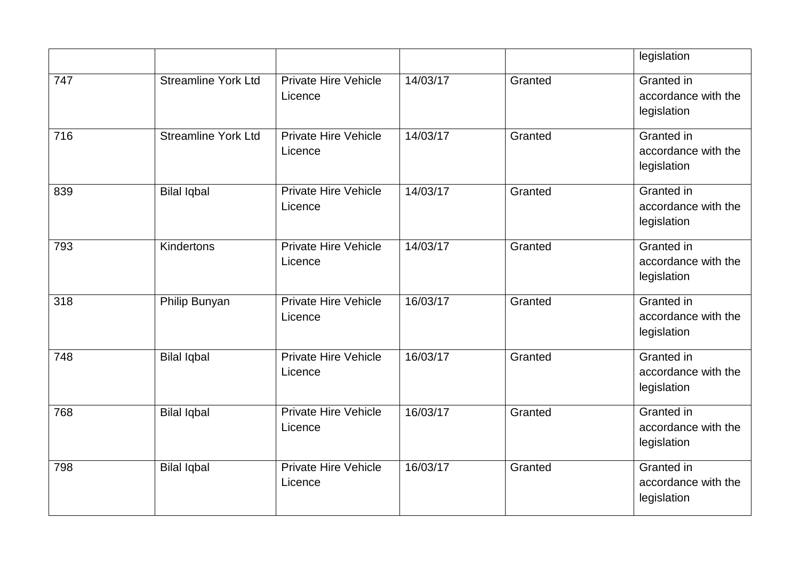|     |                            |                                        |          |         | legislation                                             |
|-----|----------------------------|----------------------------------------|----------|---------|---------------------------------------------------------|
| 747 | <b>Streamline York Ltd</b> | <b>Private Hire Vehicle</b><br>Licence | 14/03/17 | Granted | Granted in<br>accordance with the<br>legislation        |
| 716 | <b>Streamline York Ltd</b> | <b>Private Hire Vehicle</b><br>Licence | 14/03/17 | Granted | Granted in<br>accordance with the<br>legislation        |
| 839 | <b>Bilal Iqbal</b>         | <b>Private Hire Vehicle</b><br>Licence | 14/03/17 | Granted | Granted in<br>accordance with the<br>legislation        |
| 793 | Kindertons                 | <b>Private Hire Vehicle</b><br>Licence | 14/03/17 | Granted | Granted in<br>accordance with the<br>legislation        |
| 318 | Philip Bunyan              | <b>Private Hire Vehicle</b><br>Licence | 16/03/17 | Granted | <b>Granted</b> in<br>accordance with the<br>legislation |
| 748 | <b>Bilal Iqbal</b>         | <b>Private Hire Vehicle</b><br>Licence | 16/03/17 | Granted | Granted in<br>accordance with the<br>legislation        |
| 768 | <b>Bilal Iqbal</b>         | <b>Private Hire Vehicle</b><br>Licence | 16/03/17 | Granted | Granted in<br>accordance with the<br>legislation        |
| 798 | <b>Bilal Iqbal</b>         | <b>Private Hire Vehicle</b><br>Licence | 16/03/17 | Granted | Granted in<br>accordance with the<br>legislation        |